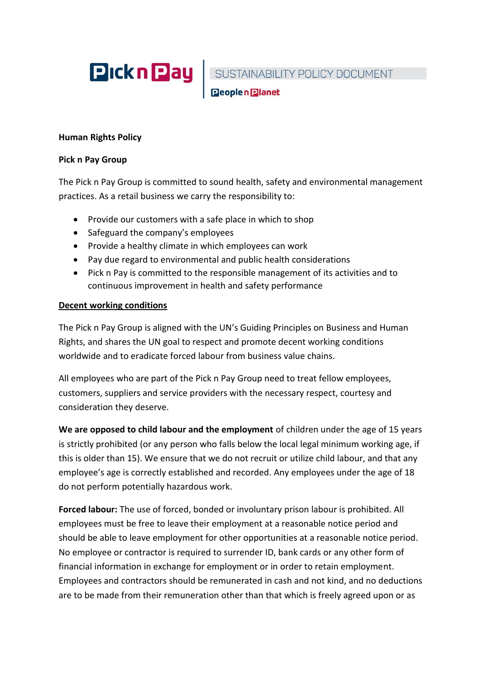

SUSTAINABILITY POLICY DOCUMENT<br>Deoplen Dianet

## **Human Rights Policy**

### **Pick n Pay Group**

The Pick n Pay Group is committed to sound health, safety and environmental management practices. As a retail business we carry the responsibility to:

- Provide our customers with a safe place in which to shop
- Safeguard the company's employees
- Provide a healthy climate in which employees can work
- Pay due regard to environmental and public health considerations
- Pick n Pay is committed to the responsible management of its activities and to continuous improvement in health and safety performance

# **Decent working conditions**

The Pick n Pay Group is aligned with the UN's Guiding Principles on Business and Human Rights, and shares the UN goal to respect and promote decent working conditions worldwide and to eradicate forced labour from business value chains.

All employees who are part of the Pick n Pay Group need to treat fellow employees, customers, suppliers and service providers with the necessary respect, courtesy and consideration they deserve.

**We are opposed to child labour and the employment** of children under the age of 15 years is strictly prohibited (or any person who falls below the local legal minimum working age, if this is older than 15). We ensure that we do not recruit or utilize child labour, and that any employee's age is correctly established and recorded. Any employees under the age of 18 do not perform potentially hazardous work.

**Forced labour:** The use of forced, bonded or involuntary prison labour is prohibited. All employees must be free to leave their employment at a reasonable notice period and should be able to leave employment for other opportunities at a reasonable notice period. No employee or contractor is required to surrender ID, bank cards or any other form of financial information in exchange for employment or in order to retain employment. Employees and contractors should be remunerated in cash and not kind, and no deductions are to be made from their remuneration other than that which is freely agreed upon or as